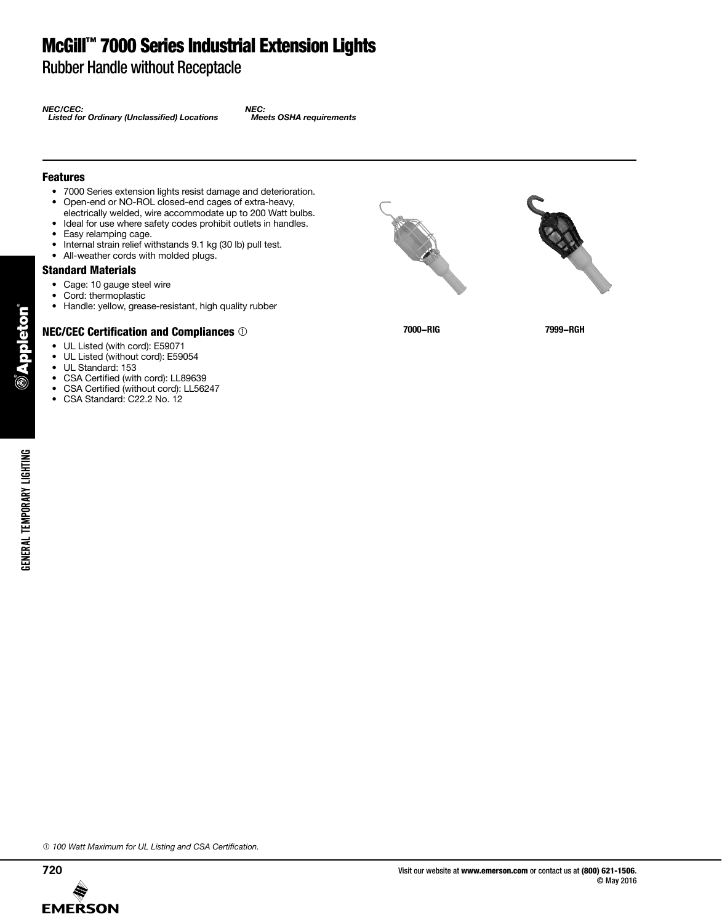## McGill™ 7000 Series Industrial Extension Lights

Rubber Handle without Receptacle

*NEC/CEC: Listed for Ordinary (Unclassified) Locations*

*NEC: Meets OSHA requirements*

#### Features

- 7000 Series extension lights resist damage and deterioration.
- Open-end or NO-ROL closed-end cages of extra-heavy,
- electrically welded, wire accommodate up to 200 Watt bulbs.
- Ideal for use where safety codes prohibit outlets in handles.
- Easy relamping cage.
- Internal strain relief withstands 9.1 kg (30 lb) pull test.<br>• All-weather cords with molded plugs
- All-weather cords with molded plugs.

#### Standard Materials

- Cage: 10 gauge steel wire
- Cord: thermoplastic
- Handle: yellow, grease-resistant, high quality rubber

### NEC/CEC Certification and Compliances

- UL Listed (with cord): E59071
- UL Listed (without cord): E59054
- UL Standard: 153

GENERAL TEMPORARY LIGHTING

**GENERAL TEMPORARY LIGHTING** 

eton

- • CSA Certified (with cord): LL89639
- CSA Certified (without cord): LL56247
- CSA Standard: C22.2 No. 12





**7000-RIG 7999-RGH**

 *100 Watt Maximum for UL Listing and CSA Certification.*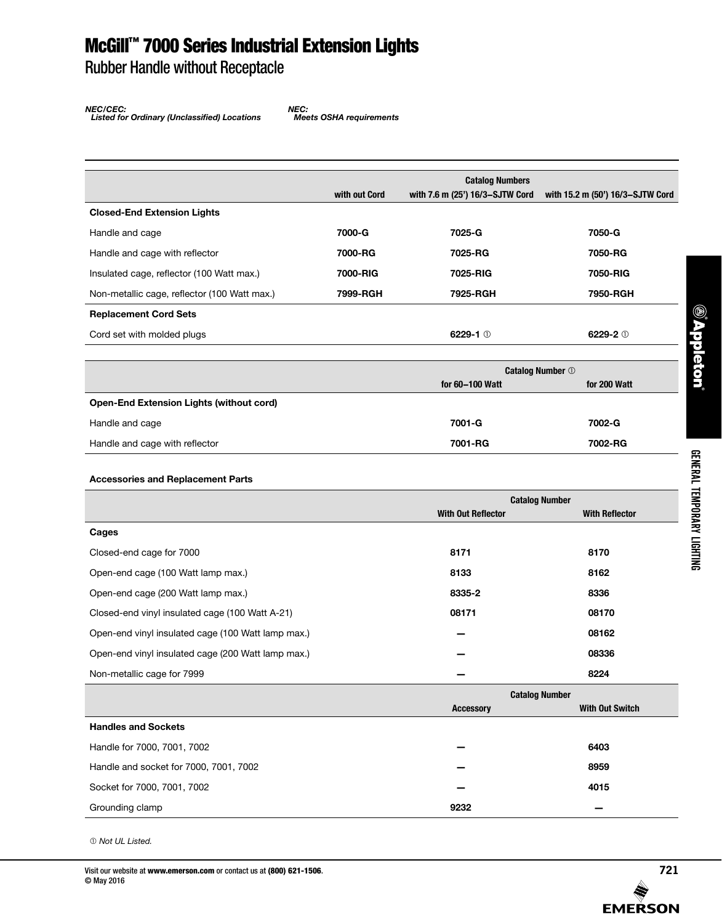## McGill™ 7000 Series Industrial Extension Lights

Rubber Handle without Receptacle

*NEC/CEC: Listed for Ordinary (Unclassified) Locations*

*NEC: Meets OSHA requirements*

|                                              |               | <b>Catalog Numbers</b>          |                                  |
|----------------------------------------------|---------------|---------------------------------|----------------------------------|
|                                              | with out Cord | with 7.6 m (25') 16/3-SJTW Cord | with 15.2 m (50') 16/3-SJTW Cord |
| <b>Closed-End Extension Lights</b>           |               |                                 |                                  |
| Handle and cage                              | 7000-G        | 7025-G                          | 7050-G                           |
| Handle and cage with reflector               | 7000-RG       | 7025-RG                         | 7050-RG                          |
| Insulated cage, reflector (100 Watt max.)    | 7000-RIG      | 7025-RIG                        | 7050-RIG                         |
| Non-metallic cage, reflector (100 Watt max.) | 7999-RGH      | 7925-RGH                        | 7950-RGH                         |
| <b>Replacement Cord Sets</b>                 |               |                                 |                                  |
| Cord set with molded plugs                   |               | 6229-1 $@$                      | 6229-2 $\circ$                   |
|                                              |               |                                 |                                  |

|                                                 | <b>Catalog Number 1</b> |              |
|-------------------------------------------------|-------------------------|--------------|
|                                                 | for 60-100 Watt         | for 200 Watt |
| <b>Open-End Extension Lights (without cord)</b> |                         |              |
| Handle and cage                                 | 7001-G                  | 7002-G       |
| Handle and cage with reflector                  | 7001-RG                 | 7002-RG      |

### **Accessories and Replacement Parts**

|                                                    | <b>Catalog Number</b>     |                        |
|----------------------------------------------------|---------------------------|------------------------|
|                                                    | <b>With Out Reflector</b> | <b>With Reflector</b>  |
| Cages                                              |                           |                        |
| Closed-end cage for 7000                           | 8171                      | 8170                   |
| Open-end cage (100 Watt lamp max.)                 | 8133                      | 8162                   |
| Open-end cage (200 Watt lamp max.)                 | 8335-2                    | 8336                   |
| Closed-end vinyl insulated cage (100 Watt A-21)    | 08171                     | 08170                  |
| Open-end vinyl insulated cage (100 Watt lamp max.) |                           | 08162                  |
| Open-end vinyl insulated cage (200 Watt lamp max.) |                           | 08336                  |
| Non-metallic cage for 7999                         |                           | 8224                   |
|                                                    | <b>Catalog Number</b>     |                        |
|                                                    | <b>Accessory</b>          | <b>With Out Switch</b> |
| <b>Handles and Sockets</b>                         |                           |                        |
| Handle for 7000, 7001, 7002                        |                           | 6403                   |
| Handle and socket for 7000, 7001, 7002             |                           | 8959                   |

Socket for 7000, 7001, 7002 **— 4015** Grounding clamp **9232 —**

 *Not UL Listed.*